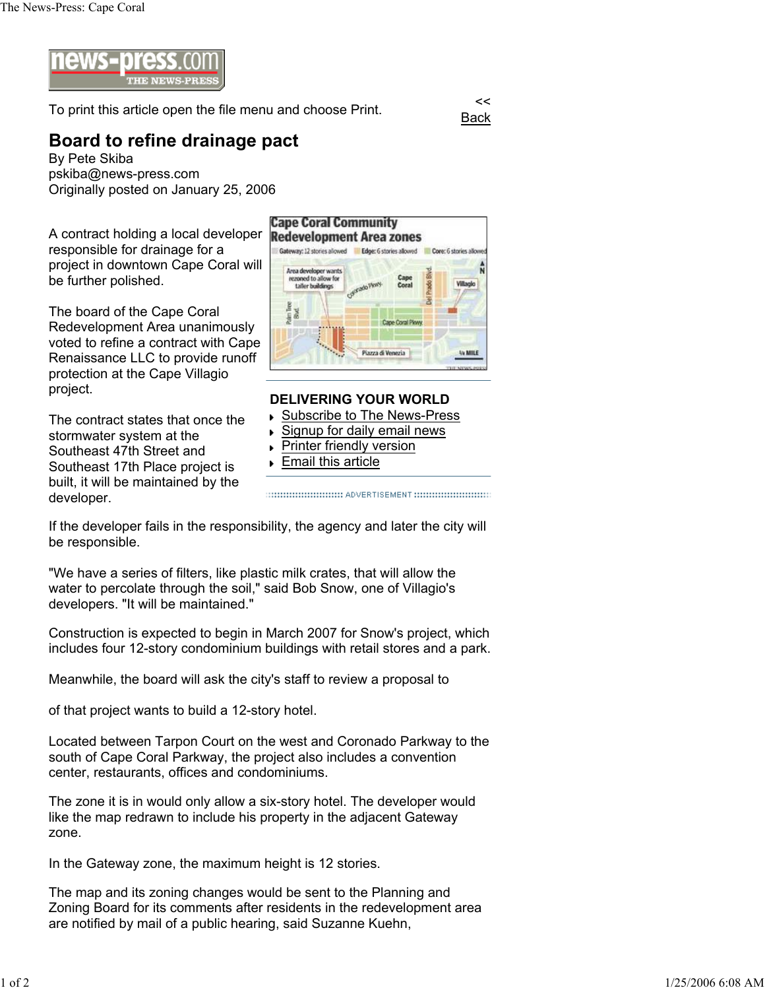

To print this article open the file menu and choose Print.

Back

## **Board to refine drainage pact**

By Pete Skiba pskiba@news-press.com Originally posted on January 25, 2006

A contract holding a local developer responsible for drainage for a project in downtown Cape Coral will be further polished.

The board of the Cape Coral Redevelopment Area unanimously voted to refine a contract with Cape Renaissance LLC to provide runoff protection at the Cape Villagio project.

The contract states that once the stormwater system at the Southeast 47th Street and Southeast 17th Place project is built, it will be maintained by the developer.



## **DELIVERING YOUR WORLD**

- Subscribe to The News-Press
- Signup for daily email news
- Printer friendly version k.
- **Email this article**

If the developer fails in the responsibility, the agency and later the city will be responsible.

"We have a series of filters, like plastic milk crates, that will allow the water to percolate through the soil," said Bob Snow, one of Villagio's developers. "It will be maintained."

Construction is expected to begin in March 2007 for Snow's project, which includes four 12-story condominium buildings with retail stores and a park.

Meanwhile, the board will ask the city's staff to review a proposal to

of that project wants to build a 12-story hotel.

Located between Tarpon Court on the west and Coronado Parkway to the south of Cape Coral Parkway, the project also includes a convention center, restaurants, offices and condominiums.

The zone it is in would only allow a six-story hotel. The developer would like the map redrawn to include his property in the adjacent Gateway zone.

In the Gateway zone, the maximum height is 12 stories.

The map and its zoning changes would be sent to the Planning and Zoning Board for its comments after residents in the redevelopment area are notified by mail of a public hearing, said Suzanne Kuehn,